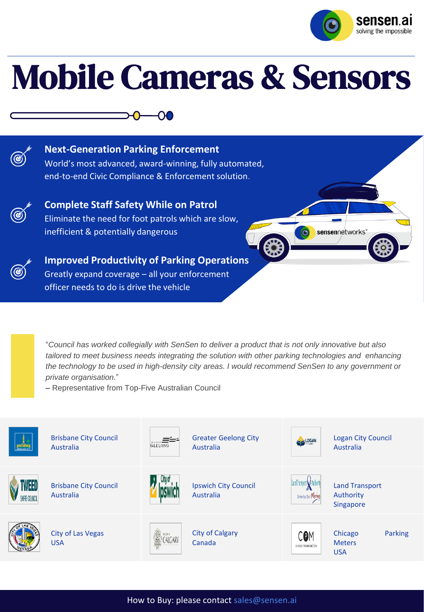

 $\bullet$ 

sensennetworks'

# Mobile Cameras & Sensors



**Next-Generation Parking Enforcement** World's most advanced, award-winning, fully automated, end-to-end Civic Compliance & Enforcement solution.

ഹ



**Complete Staff Safety While on Patrol** Eliminate the need for foot patrols which are slow, inefficient & potentially dangerous



**Improved Productivity of Parking Operations** Greatly expand coverage – all your enforcement officer needs to do is drive the vehicle



– Representative from Top-Five Australian Council